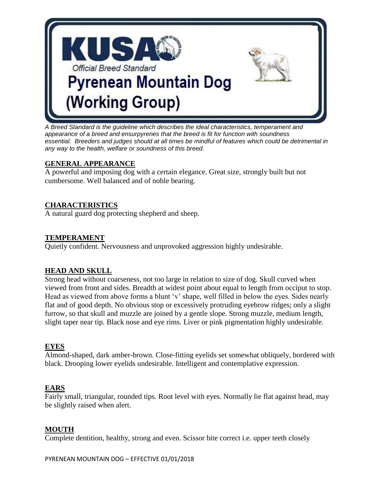

*A Breed Standard is the guideline which describes the ideal characteristics, temperament and appearance of a breed and ensurpyrenes that the breed is fit for function with soundness essential. Breeders and judges should at all times be mindful of features which could be detrimental in any way to the health, welfare or soundness of this breed.*

## **GENERAL APPEARANCE**

A powerful and imposing dog with a certain elegance. Great size, strongly built but not cumbersome. Well balanced and of noble bearing.

## **CHARACTERISTICS**

A natural guard dog protecting shepherd and sheep.

### **TEMPERAMENT**

Quietly confident. Nervousness and unprovoked aggression highly undesirable.

### **HEAD AND SKULL**

Strong head without coarseness, not too large in relation to size of dog. Skull curved when viewed from front and sides. Breadth at widest point about equal to length from occiput to stop. Head as viewed from above forms a blunt 'v' shape, well filled in below the eyes. Sides nearly flat and of good depth. No obvious stop or excessively protruding eyebrow ridges; only a slight furrow, so that skull and muzzle are joined by a gentle slope. Strong muzzle, medium length, slight taper near tip. Black nose and eye rims. Liver or pink pigmentation highly undesirable.

### **EYES**

Almond-shaped, dark amber-brown. Close-fitting eyelids set somewhat obliquely, bordered with black. Drooping lower eyelids undesirable. Intelligent and contemplative expression.

### **EARS**

Fairly small, triangular, rounded tips. Root level with eyes. Normally lie flat against head, may be slightly raised when alert.

### **MOUTH**

Complete dentition, healthy, strong and even. Scissor bite correct i.e. upper teeth closely

PYRENEAN MOUNTAIN DOG – EFFECTIVE 01/01/2018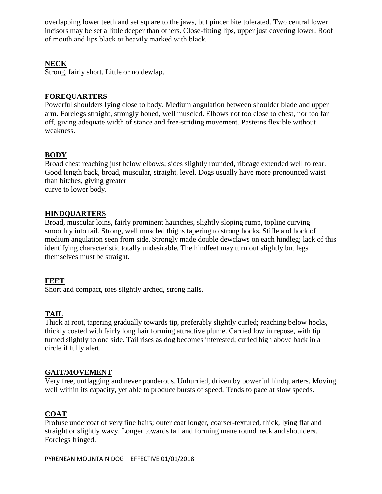overlapping lower teeth and set square to the jaws, but pincer bite tolerated. Two central lower incisors may be set a little deeper than others. Close-fitting lips, upper just covering lower. Roof of mouth and lips black or heavily marked with black.

## **NECK**

Strong, fairly short. Little or no dewlap.

### **FOREQUARTERS**

Powerful shoulders lying close to body. Medium angulation between shoulder blade and upper arm. Forelegs straight, strongly boned, well muscled. Elbows not too close to chest, nor too far off, giving adequate width of stance and free-striding movement. Pasterns flexible without weakness.

# **BODY**

Broad chest reaching just below elbows; sides slightly rounded, ribcage extended well to rear. Good length back, broad, muscular, straight, level. Dogs usually have more pronounced waist than bitches, giving greater curve to lower body.

### **HINDQUARTERS**

Broad, muscular loins, fairly prominent haunches, slightly sloping rump, topline curving smoothly into tail. Strong, well muscled thighs tapering to strong hocks. Stifle and hock of medium angulation seen from side. Strongly made double dewclaws on each hindleg; lack of this identifying characteristic totally undesirable. The hindfeet may turn out slightly but legs themselves must be straight.

### **FEET**

Short and compact, toes slightly arched, strong nails.

# **TAIL**

Thick at root, tapering gradually towards tip, preferably slightly curled; reaching below hocks, thickly coated with fairly long hair forming attractive plume. Carried low in repose, with tip turned slightly to one side. Tail rises as dog becomes interested; curled high above back in a circle if fully alert.

### **GAIT/MOVEMENT**

Very free, unflagging and never ponderous. Unhurried, driven by powerful hindquarters. Moving well within its capacity, yet able to produce bursts of speed. Tends to pace at slow speeds.

### **COAT**

Profuse undercoat of very fine hairs; outer coat longer, coarser-textured, thick, lying flat and straight or slightly wavy. Longer towards tail and forming mane round neck and shoulders. Forelegs fringed.

PYRENEAN MOUNTAIN DOG – EFFECTIVE 01/01/2018